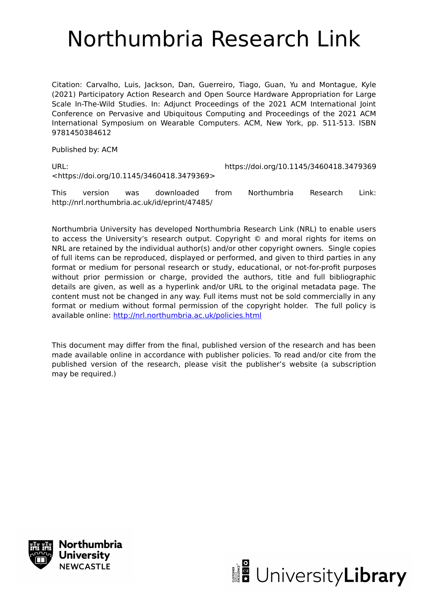# Northumbria Research Link

Citation: Carvalho, Luis, Jackson, Dan, Guerreiro, Tiago, Guan, Yu and Montague, Kyle (2021) Participatory Action Research and Open Source Hardware Appropriation for Large Scale In-The-Wild Studies. In: Adjunct Proceedings of the 2021 ACM International Joint Conference on Pervasive and Ubiquitous Computing and Proceedings of the 2021 ACM International Symposium on Wearable Computers. ACM, New York, pp. 511-513. ISBN 9781450384612

Published by: ACM

URL: https://doi.org/10.1145/3460418.3479369 <https://doi.org/10.1145/3460418.3479369>

This version was downloaded from Northumbria Research Link: http://nrl.northumbria.ac.uk/id/eprint/47485/

Northumbria University has developed Northumbria Research Link (NRL) to enable users to access the University's research output. Copyright © and moral rights for items on NRL are retained by the individual author(s) and/or other copyright owners. Single copies of full items can be reproduced, displayed or performed, and given to third parties in any format or medium for personal research or study, educational, or not-for-profit purposes without prior permission or charge, provided the authors, title and full bibliographic details are given, as well as a hyperlink and/or URL to the original metadata page. The content must not be changed in any way. Full items must not be sold commercially in any format or medium without formal permission of the copyright holder. The full policy is available online:<http://nrl.northumbria.ac.uk/policies.html>

This document may differ from the final, published version of the research and has been made available online in accordance with publisher policies. To read and/or cite from the published version of the research, please visit the publisher's website (a subscription may be required.)



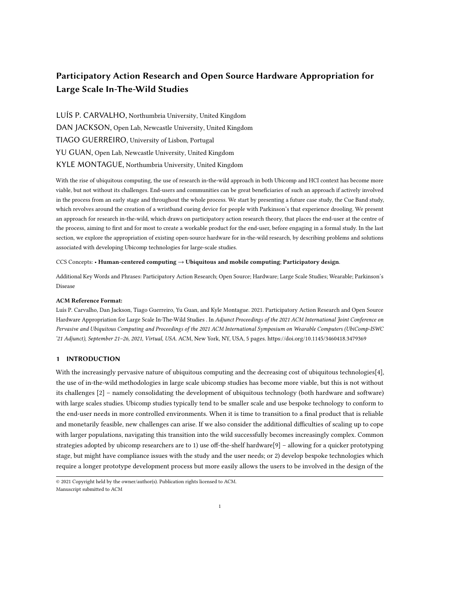# Participatory Action Research and Open Source Hardware Appropriation for Large Scale In-The-Wild Studies

LUÍS P. CARVALHO, Northumbria University, United Kingdom DAN JACKSON, Open Lab, Newcastle University, United Kingdom TIAGO GUERREIRO, University of Lisbon, Portugal YU GUAN, Open Lab, Newcastle University, United Kingdom KYLE MONTAGUE, Northumbria University, United Kingdom

With the rise of ubiquitous computing, the use of research in-the-wild approach in both Ubicomp and HCI context has become more viable, but not without its challenges. End-users and communities can be great beneficiaries of such an approach if actively involved in the process from an early stage and throughout the whole process. We start by presenting a future case study, the Cue Band study, which revolves around the creation of a wristband cueing device for people with Parkinson's that experience drooling. We present an approach for research in-the-wild, which draws on participatory action research theory, that places the end-user at the centre of the process, aiming to first and for most to create a workable product for the end-user, before engaging in a formal study. In the last section, we explore the appropriation of existing open-source hardware for in-the-wild research, by describing problems and solutions associated with developing Ubicomp technologies for large-scale studies.

#### CCS Concepts: • Human-centered computing → Ubiquitous and mobile computing; Participatory design.

Additional Key Words and Phrases: Participatory Action Research; Open Source; Hardware; Large Scale Studies; Wearable; Parkinson's Disease

#### ACM Reference Format:

Luís P. Carvalho, Dan Jackson, Tiago Guerreiro, Yu Guan, and Kyle Montague. 2021. Participatory Action Research and Open Source Hardware Appropriation for Large Scale In-The-Wild Studies . In Adjunct Proceedings of the 2021 ACM International Joint Conference on Pervasive and Ubiquitous Computing and Proceedings of the 2021 ACM International Symposium on Wearable Computers (UbiComp-ISWC '21 Adjunct), September 21–26, 2021, Virtual, USA. ACM, New York, NY, USA, [5](#page-5-0) pages.<https://doi.org/10.1145/3460418.3479369>

# 1 INTRODUCTION

With the increasingly pervasive nature of ubiquitous computing and the decreasing cost of ubiquitous technologies[\[4\]](#page-5-1), the use of in-the-wild methodologies in large scale ubicomp studies has become more viable, but this is not without its challenges [\[2\]](#page-5-2) – namely consolidating the development of ubiquitous technology (both hardware and software) with large scales studies. Ubicomp studies typically tend to be smaller scale and use bespoke technology to conform to the end-user needs in more controlled environments. When it is time to transition to a final product that is reliable and monetarily feasible, new challenges can arise. If we also consider the additional difficulties of scaling up to cope with larger populations, navigating this transition into the wild successfully becomes increasingly complex. Common strategies adopted by ubicomp researchers are to 1) use off-the-shelf hardware[\[9\]](#page-5-3) – allowing for a quicker prototyping stage, but might have compliance issues with the study and the user needs; or 2) develop bespoke technologies which require a longer prototype development process but more easily allows the users to be involved in the design of the

<sup>©</sup> 2021 Copyright held by the owner/author(s). Publication rights licensed to ACM. Manuscript submitted to ACM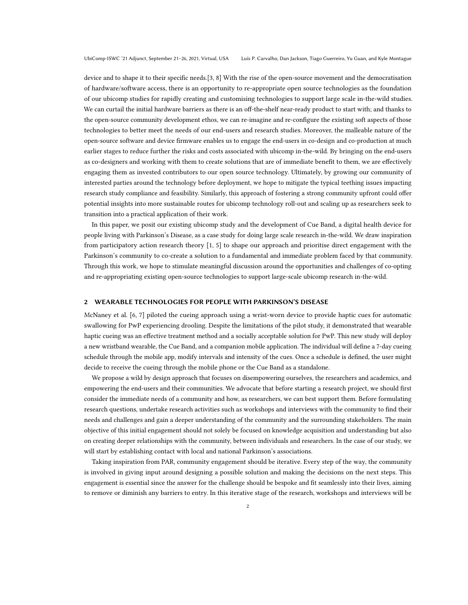device and to shape it to their specific needs.[\[3,](#page-5-4) [8\]](#page-5-5) With the rise of the open-source movement and the democratisation of hardware/software access, there is an opportunity to re-appropriate open source technologies as the foundation of our ubicomp studies for rapidly creating and customising technologies to support large scale in-the-wild studies. We can curtail the initial hardware barriers as there is an off-the-shelf near-ready product to start with; and thanks to the open-source community development ethos, we can re-imagine and re-configure the existing soft aspects of those technologies to better meet the needs of our end-users and research studies. Moreover, the malleable nature of the open-source software and device firmware enables us to engage the end-users in co-design and co-production at much earlier stages to reduce further the risks and costs associated with ubicomp in-the-wild. By bringing on the end-users as co-designers and working with them to create solutions that are of immediate benefit to them, we are effectively engaging them as invested contributors to our open source technology. Ultimately, by growing our community of interested parties around the technology before deployment, we hope to mitigate the typical teething issues impacting research study compliance and feasibility. Similarly, this approach of fostering a strong community upfront could offer potential insights into more sustainable routes for ubicomp technology roll-out and scaling up as researchers seek to transition into a practical application of their work.

In this paper, we posit our existing ubicomp study and the development of Cue Band, a digital health device for people living with Parkinson's Disease, as a case study for doing large scale research in-the-wild. We draw inspiration from participatory action research theory [\[1,](#page-5-6) [5\]](#page-5-7) to shape our approach and prioritise direct engagement with the Parkinson's community to co-create a solution to a fundamental and immediate problem faced by that community. Through this work, we hope to stimulate meaningful discussion around the opportunities and challenges of co-opting and re-appropriating existing open-source technologies to support large-scale ubicomp research in-the-wild.

#### 2 WEARABLE TECHNOLOGIES FOR PEOPLE WITH PARKINSON'S DISEASE

McNaney et al. [\[6,](#page-5-8) [7\]](#page-5-9) piloted the cueing approach using a wrist-worn device to provide haptic cues for automatic swallowing for PwP experiencing drooling. Despite the limitations of the pilot study, it demonstrated that wearable haptic cueing was an effective treatment method and a socially acceptable solution for PwP. This new study will deploy a new wristband wearable, the Cue Band, and a companion mobile application. The individual will define a 7-day cueing schedule through the mobile app, modify intervals and intensity of the cues. Once a schedule is defined, the user might decide to receive the cueing through the mobile phone or the Cue Band as a standalone.

We propose a wild by design approach that focuses on disempowering ourselves, the researchers and academics, and empowering the end-users and their communities. We advocate that before starting a research project, we should first consider the immediate needs of a community and how, as researchers, we can best support them. Before formulating research questions, undertake research activities such as workshops and interviews with the community to find their needs and challenges and gain a deeper understanding of the community and the surrounding stakeholders. The main objective of this initial engagement should not solely be focused on knowledge acquisition and understanding but also on creating deeper relationships with the community, between individuals and researchers. In the case of our study, we will start by establishing contact with local and national Parkinson's associations.

Taking inspiration from PAR, community engagement should be iterative. Every step of the way, the community is involved in giving input around designing a possible solution and making the decisions on the next steps. This engagement is essential since the answer for the challenge should be bespoke and fit seamlessly into their lives, aiming to remove or diminish any barriers to entry. In this iterative stage of the research, workshops and interviews will be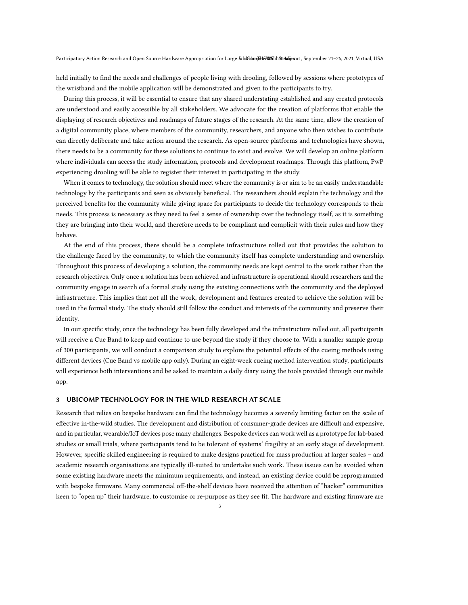held initially to find the needs and challenges of people living with drooling, followed by sessions where prototypes of the wristband and the mobile application will be demonstrated and given to the participants to try.

During this process, it will be essential to ensure that any shared understating established and any created protocols are understood and easily accessible by all stakeholders. We advocate for the creation of platforms that enable the displaying of research objectives and roadmaps of future stages of the research. At the same time, allow the creation of a digital community place, where members of the community, researchers, and anyone who then wishes to contribute can directly deliberate and take action around the research. As open-source platforms and technologies have shown, there needs to be a community for these solutions to continue to exist and evolve. We will develop an online platform where individuals can access the study information, protocols and development roadmaps. Through this platform, PwP experiencing drooling will be able to register their interest in participating in the study.

When it comes to technology, the solution should meet where the community is or aim to be an easily understandable technology by the participants and seen as obviously beneficial. The researchers should explain the technology and the perceived benefits for the community while giving space for participants to decide the technology corresponds to their needs. This process is necessary as they need to feel a sense of ownership over the technology itself, as it is something they are bringing into their world, and therefore needs to be compliant and complicit with their rules and how they behave.

At the end of this process, there should be a complete infrastructure rolled out that provides the solution to the challenge faced by the community, to which the community itself has complete understanding and ownership. Throughout this process of developing a solution, the community needs are kept central to the work rather than the research objectives. Only once a solution has been achieved and infrastructure is operational should researchers and the community engage in search of a formal study using the existing connections with the community and the deployed infrastructure. This implies that not all the work, development and features created to achieve the solution will be used in the formal study. The study should still follow the conduct and interests of the community and preserve their identity.

In our specific study, once the technology has been fully developed and the infrastructure rolled out, all participants will receive a Cue Band to keep and continue to use beyond the study if they choose to. With a smaller sample group of 300 participants, we will conduct a comparison study to explore the potential effects of the cueing methods using different devices (Cue Band vs mobile app only). During an eight-week cueing method intervention study, participants will experience both interventions and be asked to maintain a daily diary using the tools provided through our mobile app.

# 3 UBICOMP TECHNOLOGY FOR IN-THE-WILD RESEARCH AT SCALE

Research that relies on bespoke hardware can find the technology becomes a severely limiting factor on the scale of effective in-the-wild studies. The development and distribution of consumer-grade devices are difficult and expensive, and in particular, wearable/IoT devices pose many challenges. Bespoke devices can work well as a prototype for lab-based studies or small trials, where participants tend to be tolerant of systems' fragility at an early stage of development. However, specific skilled engineering is required to make designs practical for mass production at larger scales – and academic research organisations are typically ill-suited to undertake such work. These issues can be avoided when some existing hardware meets the minimum requirements, and instead, an existing device could be reprogrammed with bespoke firmware. Many commercial off-the-shelf devices have received the attention of "hacker" communities keen to "open up" their hardware, to customise or re-purpose as they see fit. The hardware and existing firmware are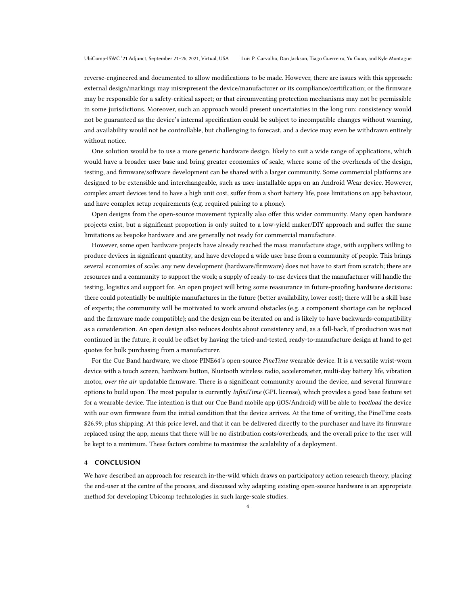reverse-engineered and documented to allow modifications to be made. However, there are issues with this approach: external design/markings may misrepresent the device/manufacturer or its compliance/certification; or the firmware may be responsible for a safety-critical aspect; or that circumventing protection mechanisms may not be permissible in some jurisdictions. Moreover, such an approach would present uncertainties in the long run: consistency would not be guaranteed as the device's internal specification could be subject to incompatible changes without warning, and availability would not be controllable, but challenging to forecast, and a device may even be withdrawn entirely without notice.

One solution would be to use a more generic hardware design, likely to suit a wide range of applications, which would have a broader user base and bring greater economies of scale, where some of the overheads of the design, testing, and firmware/software development can be shared with a larger community. Some commercial platforms are designed to be extensible and interchangeable, such as user-installable apps on an Android Wear device. However, complex smart devices tend to have a high unit cost, suffer from a short battery life, pose limitations on app behaviour, and have complex setup requirements (e.g. required pairing to a phone).

Open designs from the open-source movement typically also offer this wider community. Many open hardware projects exist, but a significant proportion is only suited to a low-yield maker/DIY approach and suffer the same limitations as bespoke hardware and are generally not ready for commercial manufacture.

However, some open hardware projects have already reached the mass manufacture stage, with suppliers willing to produce devices in significant quantity, and have developed a wide user base from a community of people. This brings several economies of scale: any new development (hardware/firmware) does not have to start from scratch; there are resources and a community to support the work; a supply of ready-to-use devices that the manufacturer will handle the testing, logistics and support for. An open project will bring some reassurance in future-proofing hardware decisions: there could potentially be multiple manufactures in the future (better availability, lower cost); there will be a skill base of experts; the community will be motivated to work around obstacles (e.g. a component shortage can be replaced and the firmware made compatible); and the design can be iterated on and is likely to have backwards-compatibility as a consideration. An open design also reduces doubts about consistency and, as a fall-back, if production was not continued in the future, it could be offset by having the tried-and-tested, ready-to-manufacture design at hand to get quotes for bulk purchasing from a manufacturer.

For the Cue Band hardware, we chose PINE64's open-source PineTime wearable device. It is a versatile wrist-worn device with a touch screen, hardware button, Bluetooth wireless radio, accelerometer, multi-day battery life, vibration motor, over the air updatable firmware. There is a significant community around the device, and several firmware options to build upon. The most popular is currently *InfiniTime* (GPL license), which provides a good base feature set for a wearable device. The intention is that our Cue Band mobile app (iOS/Android) will be able to bootload the device with our own firmware from the initial condition that the device arrives. At the time of writing, the PineTime costs \$26.99, plus shipping. At this price level, and that it can be delivered directly to the purchaser and have its firmware replaced using the app, means that there will be no distribution costs/overheads, and the overall price to the user will be kept to a minimum. These factors combine to maximise the scalability of a deployment.

# 4 CONCLUSION

We have described an approach for research in-the-wild which draws on participatory action research theory, placing the end-user at the centre of the process, and discussed why adapting existing open-source hardware is an appropriate method for developing Ubicomp technologies in such large-scale studies.